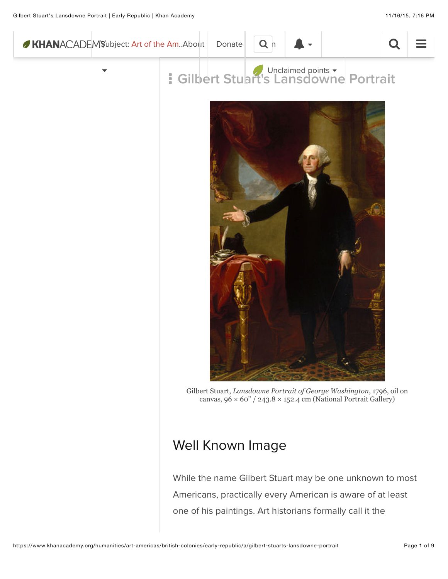



Gilbert Stuart, *Lansdowne Portrait of George Washington*, 1796, oil on canvas,  $96 \times 60'' / 243.8 \times 152.4$  cm (National Portrait Gallery)

## Well Known Image

While the name Gilbert Stuart may be one unknown to most Americans, practically every American is aware of at least one of his paintings. Art historians formally call it the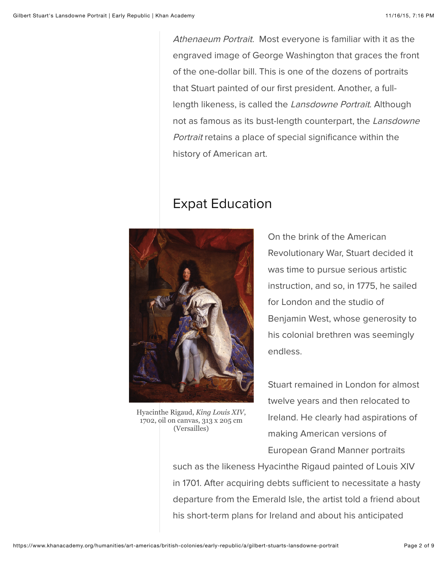Athenaeum Portrait. Most everyone is familiar with it as the engraved image of George Washington that graces the front of the one-dollar bill. This is one of the dozens of portraits that Stuart painted of our first president. Another, a fulllength likeness, is called the Lansdowne Portrait. Although not as famous as its bust-length counterpart, the Lansdowne Portrait retains a place of special significance within the history of American art.

### Expat Education



Hyacinthe Rigaud, *King Louis XIV*, 1702, oil on canvas, 313 x 205 cm (Versailles)

On the brink of the American Revolutionary War, Stuart decided it was time to pursue serious artistic instruction, and so, in 1775, he sailed for London and the studio of Benjamin West, whose generosity to his colonial brethren was seemingly endless.

Stuart remained in London for almost twelve years and then relocated to Ireland. He clearly had aspirations of making American versions of European Grand Manner portraits

such as the likeness Hyacinthe Rigaud painted of Louis XIV in 1701. After acquiring debts sufficient to necessitate a hasty departure from the Emerald Isle, the artist told a friend about his short-term plans for Ireland and about his anticipated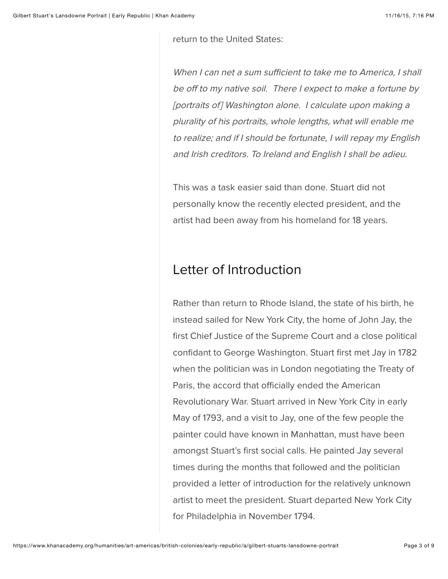return to the United States:

When I can net a sum sufficient to take me to America, I shall be off to my native soil. There I expect to make a fortune by [portraits of] Washington alone. I calculate upon making a plurality of his portraits, whole lengths, what will enable me to realize; and if I should be fortunate, I will repay my English and Irish creditors. To Ireland and English I shall be adieu.

This was a task easier said than done. Stuart did not personally know the recently elected president, and the artist had been away from his homeland for 18 years.

## Letter of Introduction

Rather than return to Rhode Island, the state of his birth, he instead sailed for New York City, the home of John Jay, the first Chief Justice of the Supreme Court and a close political confidant to George Washington. Stuart first met Jay in 1782 when the politician was in London negotiating the Treaty of Paris, the accord that officially ended the American Revolutionary War. Stuart arrived in New York City in early May of 1793, and a visit to Jay, one of the few people the painter could have known in Manhattan, must have been amongst Stuart's first social calls. He painted Jay several times during the months that followed and the politician provided a letter of introduction for the relatively unknown artist to meet the president. Stuart departed New York City for Philadelphia in November 1794.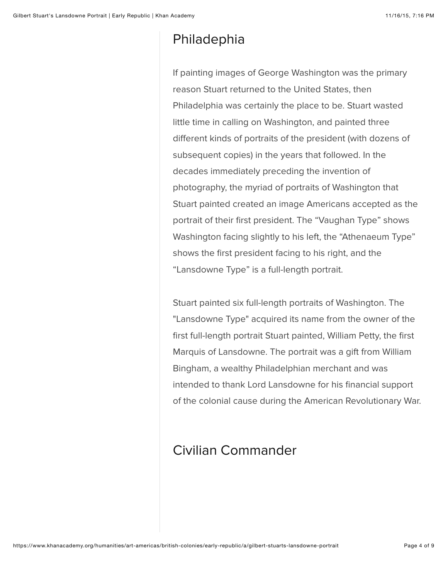### Philadephia

If painting images of George Washington was the primary reason Stuart returned to the United States, then Philadelphia was certainly the place to be. Stuart wasted little time in calling on Washington, and painted three diferent kinds of portraits of the president (with dozens of subsequent copies) in the years that followed. In the decades immediately preceding the invention of photography, the myriad of portraits of Washington that Stuart painted created an image Americans accepted as the portrait of their first president. The "Vaughan Type" shows Washington facing slightly to his left, the "Athenaeum Type" shows the first president facing to his right, and the "Lansdowne Type" is a full-length portrait.

Stuart painted six full-length portraits of Washington. The "Lansdowne Type" acquired its name from the owner of the first full-length portrait Stuart painted, William Petty, the first Marquis of Lansdowne. The portrait was a gift from William Bingham, a wealthy Philadelphian merchant and was intended to thank Lord Lansdowne for his financial support of the colonial cause during the American Revolutionary War.

# Civilian Commander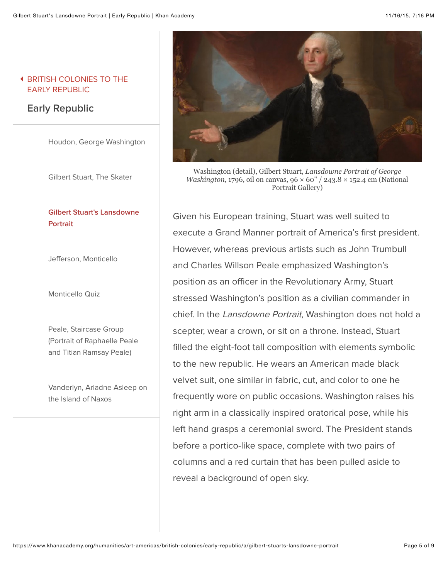#### & [BRITISH COLONIES TO THE](https://www.khanacademy.org/humanities/art-americas/british-colonies) EARLY REPUBLIC

### **Early Republic**

[Houdon, George Washington](https://www.khanacademy.org/humanities/art-americas/british-colonies/early-republic/a/houdon-george-washington)

[Gilbert Stuart, The Skater](https://www.khanacademy.org/humanities/art-americas/british-colonies/early-republic/a/gilbert-stuart-the-skater)

#### **[Gilbert Stuart's Lansdowne](https://www.khanacademy.org/humanities/art-americas/british-colonies/early-republic/a/gilbert-stuarts-lansdowne-portrait) Portrait**

Jef[erson, Monticello](https://www.khanacademy.org/humanities/art-americas/british-colonies/early-republic/a/jefferson-monticello)

[Monticello Quiz](https://www.khanacademy.org/humanities/art-americas/british-colonies/early-republic/e/monticello-quiz)

Peale, Staircase Group [\(Portrait of Raphaelle Peale](https://www.khanacademy.org/humanities/art-americas/british-colonies/early-republic/v/charles-willson-peale-staircase-group-portrait-of-raphaelle-peale-and-titian-ramsay-peale-1795) and Titian Ramsay Peale)

[Vanderlyn, Ariadne Asleep on](https://www.khanacademy.org/humanities/art-americas/british-colonies/early-republic/a/vanderlyn-ariadne-asleep-on-the-island-of-naxos) the Island of Naxos



Washington (detail), Gilbert Stuart, *Lansdowne Portrait of George Washington*, 1796, oil on canvas, 96  $\times$  60" / 243.8  $\times$  152.4 cm (National Portrait Gallery)

Given his European training, Stuart was well suited to execute a Grand Manner portrait of America's first president. However, whereas previous artists such as John Trumbull and Charles Willson Peale emphasized Washington's position as an officer in the Revolutionary Army, Stuart stressed Washington's position as a civilian commander in chief. In the Lansdowne Portrait, Washington does not hold a scepter, wear a crown, or sit on a throne. Instead, Stuart filled the eight-foot tall composition with elements symbolic to the new republic. He wears an American made black velvet suit, one similar in fabric, cut, and color to one he frequently wore on public occasions. Washington raises his right arm in a classically inspired oratorical pose, while his left hand grasps a ceremonial sword. The President stands before a portico-like space, complete with two pairs of columns and a red curtain that has been pulled aside to reveal a background of open sky.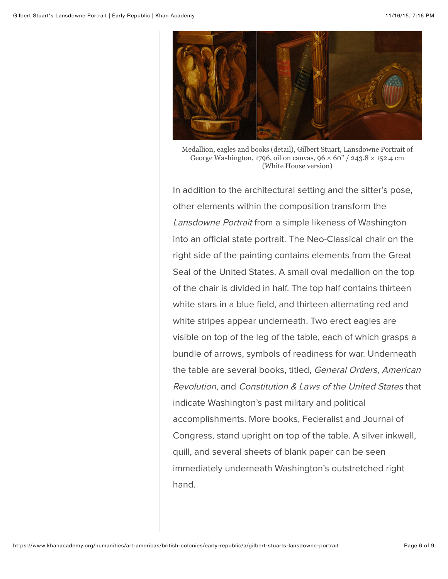

Medallion, eagles and books (detail), Gilbert Stuart, Lansdowne Portrait of George Washington, 1796, oil on canvas,  $96 \times 60'' / 243.8 \times 152.4$  cm (White House version)

In addition to the architectural setting and the sitter's pose, other elements within the composition transform the Lansdowne Portrait from a simple likeness of Washington into an official state portrait. The Neo-Classical chair on the right side of the painting contains elements from the Great Seal of the United States. A small oval medallion on the top of the chair is divided in half. The top half contains thirteen white stars in a blue field, and thirteen alternating red and white stripes appear underneath. Two erect eagles are visible on top of the leg of the table, each of which grasps a bundle of arrows, symbols of readiness for war. Underneath the table are several books, titled, General Orders, American Revolution, and Constitution & Laws of the United States that indicate Washington's past military and political accomplishments. More books, Federalist and Journal of Congress, stand upright on top of the table. A silver inkwell, quill, and several sheets of blank paper can be seen immediately underneath Washington's outstretched right hand.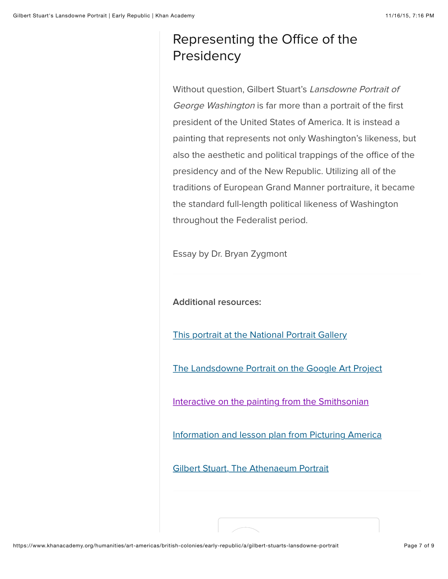# Representing the Office of the **Presidency**

Without question, Gilbert Stuart's Lansdowne Portrait of George Washington is far more than a portrait of the first president of the United States of America. It is instead a painting that represents not only Washington's likeness, but also the aesthetic and political trappings of the office of the presidency and of the New Republic. Utilizing all of the traditions of European Grand Manner portraiture, it became the standard full-length political likeness of Washington throughout the Federalist period.

Essay by Dr. Bryan Zygmont

**Additional resources:**

[This portrait at the National Portrait Gallery](http://www.npg.si.edu/collection/lansdowne.html)

[The Landsdowne Portrait on the Google Art Project](https://www.google.com/culturalinstitute/u/0/browse/stuart%20landsdowne?projectId=art-project)

[Interactive on the painting from the Smithsonian](http://www.georgewashington.si.edu/portrait/)

[Information and lesson plan from Picturing America](http://picturingamerica.neh.gov/downloads/pdfs/Resource_Guide_Chapters/PictAmer_Resource_Book_Chapter_3B.pdf)

[Gilbert Stuart, The Athenaeum Portrait](https://www.nga.gov/exhibitions/2005/stuart/philadelphia.shtm)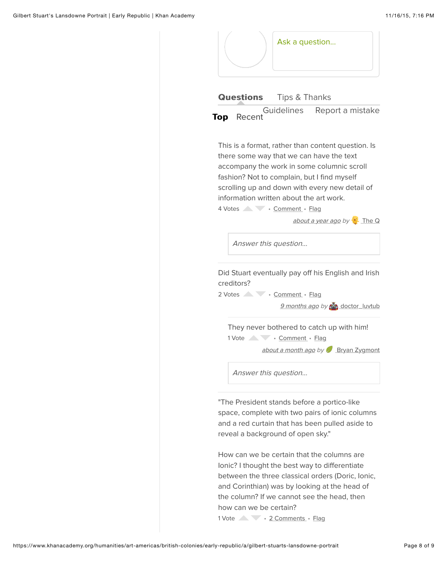|            |                                         | Ask a question |                                                                                                                                                                                                                                               |
|------------|-----------------------------------------|----------------|-----------------------------------------------------------------------------------------------------------------------------------------------------------------------------------------------------------------------------------------------|
|            | <b>Questions</b> Tips & Thanks          |                |                                                                                                                                                                                                                                               |
| Top Recent |                                         |                | Guidelines Report a mistake                                                                                                                                                                                                                   |
|            | information written about the art work. |                | This is a format, rather than content question. Is<br>there some way that we can have the text<br>accompany the work in some columnic scroll<br>fashion? Not to complain, but I find myself<br>scrolling up and down with every new detail of |
|            | 4 Votes Comment · Flag                  |                | about a year ago by The Q                                                                                                                                                                                                                     |
|            | Answer this question                    |                |                                                                                                                                                                                                                                               |
| creditors? |                                         |                | Did Stuart eventually pay off his English and Irish                                                                                                                                                                                           |
|            | 2 Votes Comment · Flag                  |                |                                                                                                                                                                                                                                               |
|            |                                         |                | 9 months ago by codor luvtub                                                                                                                                                                                                                  |
|            |                                         |                | They never bothered to catch up with him!                                                                                                                                                                                                     |
|            | 1 Vote Comment · Flag                   |                |                                                                                                                                                                                                                                               |
|            |                                         |                | about a month ago by Bryan Zygmont                                                                                                                                                                                                            |
|            | Answer this question                    |                |                                                                                                                                                                                                                                               |
|            | reveal a background of open sky."       |                | "The President stands before a portico-like<br>space, complete with two pairs of ionic columns<br>and a red curtain that has been pulled aside to                                                                                             |
|            |                                         |                |                                                                                                                                                                                                                                               |

between the three classical orders (Doric, Ionic, and Corinthian) was by looking at the head of the column? If we cannot see the head, then how can we be certain?

1 Vote • 2 Comments • Flag